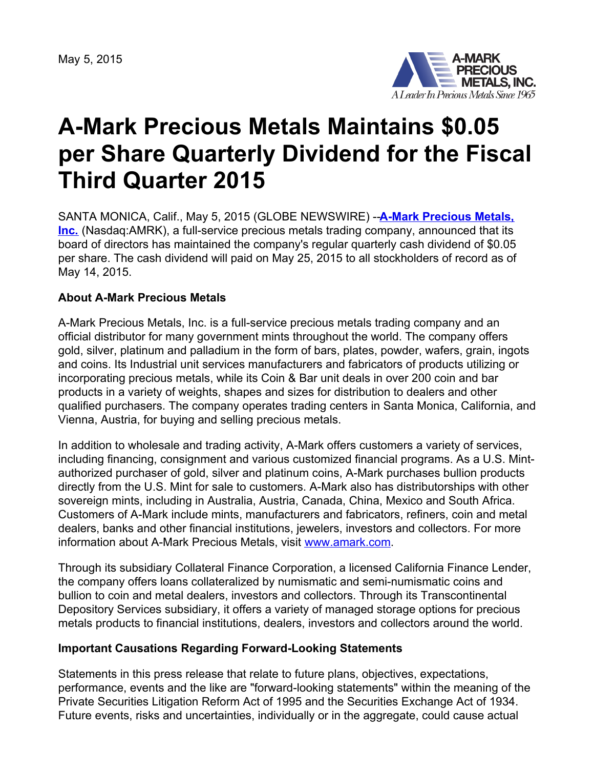May 5, 2015



## **A-Mark Precious Metals Maintains \$0.05 per Share Quarterly Dividend for the Fiscal Third Quarter 2015**

SANTA MONICA, Calif., May 5, 2015 (GLOBE NEWSWIRE) --**A-Mark Precious Metals, Inc.** [\(Nasdaq:AMRK\),](http://www.amark.com/) a full-service precious metals trading company, announced that its board of directors has maintained the company's regular quarterly cash dividend of \$0.05 per share. The cash dividend will paid on May 25, 2015 to all stockholders of record as of May 14, 2015.

## **About A-Mark Precious Metals**

A-Mark Precious Metals, Inc. is a full-service precious metals trading company and an official distributor for many government mints throughout the world. The company offers gold, silver, platinum and palladium in the form of bars, plates, powder, wafers, grain, ingots and coins. Its Industrial unit services manufacturers and fabricators of products utilizing or incorporating precious metals, while its Coin & Bar unit deals in over 200 coin and bar products in a variety of weights, shapes and sizes for distribution to dealers and other qualified purchasers. The company operates trading centers in Santa Monica, California, and Vienna, Austria, for buying and selling precious metals.

In addition to wholesale and trading activity, A-Mark offers customers a variety of services, including financing, consignment and various customized financial programs. As a U.S. Mintauthorized purchaser of gold, silver and platinum coins, A-Mark purchases bullion products directly from the U.S. Mint for sale to customers. A-Mark also has distributorships with other sovereign mints, including in Australia, Austria, Canada, China, Mexico and South Africa. Customers of A-Mark include mints, manufacturers and fabricators, refiners, coin and metal dealers, banks and other financial institutions, jewelers, investors and collectors. For more information about A-Mark Precious Metals, visit [www.amark.com.](http://www.amark.com/)

Through its subsidiary Collateral Finance Corporation, a licensed California Finance Lender, the company offers loans collateralized by numismatic and semi-numismatic coins and bullion to coin and metal dealers, investors and collectors. Through its Transcontinental Depository Services subsidiary, it offers a variety of managed storage options for precious metals products to financial institutions, dealers, investors and collectors around the world.

## **Important Causations Regarding Forward-Looking Statements**

Statements in this press release that relate to future plans, objectives, expectations, performance, events and the like are "forward-looking statements" within the meaning of the Private Securities Litigation Reform Act of 1995 and the Securities Exchange Act of 1934. Future events, risks and uncertainties, individually or in the aggregate, could cause actual